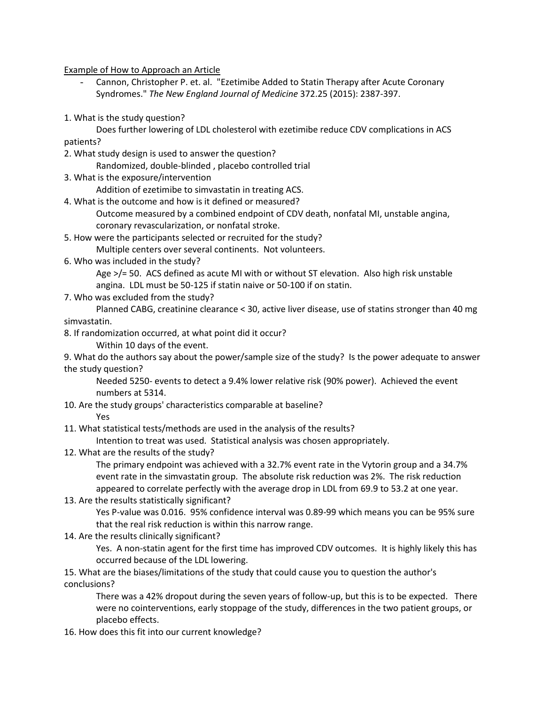Example of How to Approach an Article

- Cannon, Christopher P. et. al. "Ezetimibe Added to Statin Therapy after Acute Coronary Syndromes." *The New England Journal of Medicine* 372.25 (2015): 2387-397.
- 1. What is the study question?
- Does further lowering of LDL cholesterol with ezetimibe reduce CDV complications in ACS patients?
- 2. What study design is used to answer the question? Randomized, double-blinded , placebo controlled trial
- 3. What is the exposure/intervention

Addition of ezetimibe to simvastatin in treating ACS.

- 4. What is the outcome and how is it defined or measured?
	- Outcome measured by a combined endpoint of CDV death, nonfatal MI, unstable angina, coronary revascularization, or nonfatal stroke.
- 5. How were the participants selected or recruited for the study? Multiple centers over several continents. Not volunteers.
- 6. Who was included in the study?

Age >/= 50. ACS defined as acute MI with or without ST elevation. Also high risk unstable angina. LDL must be 50-125 if statin naive or 50-100 if on statin.

7. Who was excluded from the study?

Planned CABG, creatinine clearance < 30, active liver disease, use of statins stronger than 40 mg simvastatin.

8. If randomization occurred, at what point did it occur?

Within 10 days of the event.

9. What do the authors say about the power/sample size of the study? Is the power adequate to answer the study question?

Needed 5250- events to detect a 9.4% lower relative risk (90% power). Achieved the event numbers at 5314.

10. Are the study groups' characteristics comparable at baseline?

Yes

11. What statistical tests/methods are used in the analysis of the results?

Intention to treat was used. Statistical analysis was chosen appropriately.

12. What are the results of the study?

The primary endpoint was achieved with a 32.7% event rate in the Vytorin group and a 34.7% event rate in the simvastatin group. The absolute risk reduction was 2%. The risk reduction appeared to correlate perfectly with the average drop in LDL from 69.9 to 53.2 at one year.

- 13. Are the results statistically significant?
	- Yes P-value was 0.016. 95% confidence interval was 0.89-99 which means you can be 95% sure that the real risk reduction is within this narrow range.
- 14. Are the results clinically significant?

Yes. A non-statin agent for the first time has improved CDV outcomes. It is highly likely this has occurred because of the LDL lowering.

15. What are the biases/limitations of the study that could cause you to question the author's conclusions?

There was a 42% dropout during the seven years of follow-up, but this is to be expected. There were no cointerventions, early stoppage of the study, differences in the two patient groups, or placebo effects.

16. How does this fit into our current knowledge?